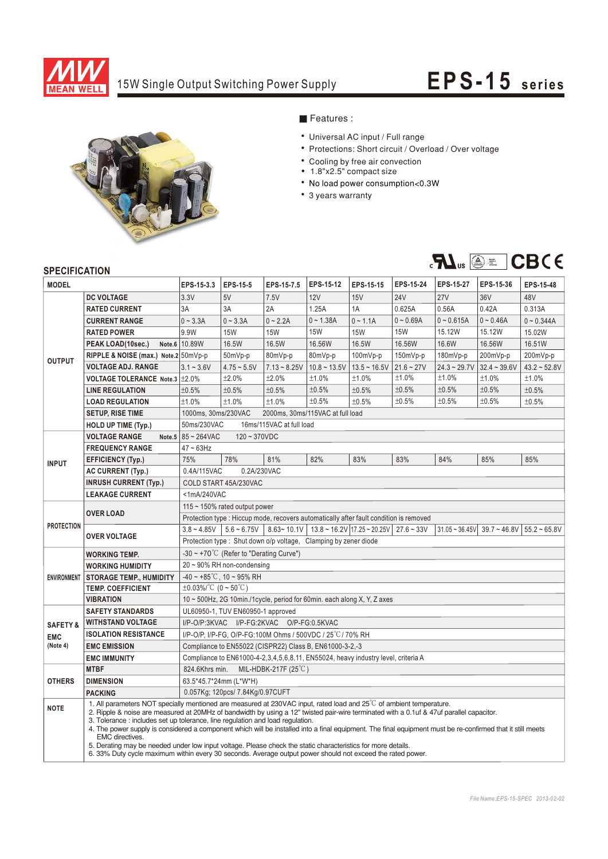

# 15W Single Output Switching Power Supply **EPS-15** series



## Features:

- Universal AC input / Full range
- Protections: Short circuit / Overload / Over voltage
- Cooling by free air convection
- 1.8"x2.5" compact size
- No load power consumption<0.3W
- 3 years warranty



### **SPECIFICATION**

| יוטו ועה ווטבו וט<br><b>MODEL</b>             |                                                                                                                                                                                                                                                                                                                                                                                                                                                                                                                                                                                                                                                                                                                                                                              | EPS-15-3.3                                                                                                                                                                  | EPS-15-5                         | EPS-15-7.5     | EPS-15-12      | EPS-15-15      | EPS-15-24    | <b>EPS-15-27</b> | EPS-15-36      | EPS-15-48         |  |
|-----------------------------------------------|------------------------------------------------------------------------------------------------------------------------------------------------------------------------------------------------------------------------------------------------------------------------------------------------------------------------------------------------------------------------------------------------------------------------------------------------------------------------------------------------------------------------------------------------------------------------------------------------------------------------------------------------------------------------------------------------------------------------------------------------------------------------------|-----------------------------------------------------------------------------------------------------------------------------------------------------------------------------|----------------------------------|----------------|----------------|----------------|--------------|------------------|----------------|-------------------|--|
|                                               | <b>DC VOLTAGE</b>                                                                                                                                                                                                                                                                                                                                                                                                                                                                                                                                                                                                                                                                                                                                                            | 3.3V                                                                                                                                                                        | 5V                               | 7.5V           | 12V            | 15V            | <b>24V</b>   | <b>27V</b>       | 36V            | 48V               |  |
| <b>OUTPUT</b>                                 | <b>RATED CURRENT</b>                                                                                                                                                                                                                                                                                                                                                                                                                                                                                                                                                                                                                                                                                                                                                         | 3A                                                                                                                                                                          | 3A                               | 2A             | 1.25A          | 1A             | 0.625A       | 0.56A            | 0.42A          | 0.313A            |  |
|                                               | <b>CURRENT RANGE</b>                                                                                                                                                                                                                                                                                                                                                                                                                                                                                                                                                                                                                                                                                                                                                         | $0 - 3.3A$                                                                                                                                                                  | $0 - 3.3A$                       | $0 - 2.2A$     | $0 - 1.38A$    | $0 - 1.1A$     | $0 - 0.69A$  | $0 - 0.615A$     | $0 - 0.46A$    | $0 - 0.344A$      |  |
|                                               | <b>RATED POWER</b>                                                                                                                                                                                                                                                                                                                                                                                                                                                                                                                                                                                                                                                                                                                                                           | 9.9W                                                                                                                                                                        | <b>15W</b>                       | <b>15W</b>     | <b>15W</b>     | <b>15W</b>     | <b>15W</b>   | 15.12W           | 15.12W         | 15.02W            |  |
|                                               | PEAK LOAD(10sec.)                                                                                                                                                                                                                                                                                                                                                                                                                                                                                                                                                                                                                                                                                                                                                            | Note.6 10.89W                                                                                                                                                               | 16.5W                            | 16.5W          | 16.56W         | 16.5W          | 16.56W       | 16.6W            | 16.56W         | 16.51W            |  |
|                                               | RIPPLE & NOISE (max.) Note.2 50mVp-p                                                                                                                                                                                                                                                                                                                                                                                                                                                                                                                                                                                                                                                                                                                                         |                                                                                                                                                                             | 50mVp-p                          | 80mVp-p        | 80mVp-p        | $100mVp-p$     | 150mVp-p     | 180mVp-p         | 200mVp-p       | 200mVp-p          |  |
|                                               | <b>VOLTAGE ADJ. RANGE</b>                                                                                                                                                                                                                                                                                                                                                                                                                                                                                                                                                                                                                                                                                                                                                    | $3.1 - 3.6V$                                                                                                                                                                | $4.75 - 5.5V$                    | $7.13 - 8.25V$ | $10.8 - 13.5V$ | $13.5 - 16.5V$ | $21.6 - 27V$ | $24.3 - 29.7V$   | $32.4 - 39.6V$ | $43.2 \div 52.8V$ |  |
|                                               | VOLTAGE TOLERANCE Note.3   ±2.0%                                                                                                                                                                                                                                                                                                                                                                                                                                                                                                                                                                                                                                                                                                                                             |                                                                                                                                                                             | ±2.0%                            | ±2.0%          | ±1.0%          | ±1.0%          | ±1.0%        | ±1.0%            | ±1.0%          | ±1.0%             |  |
|                                               | <b>LINE REGULATION</b>                                                                                                                                                                                                                                                                                                                                                                                                                                                                                                                                                                                                                                                                                                                                                       | ±0.5%                                                                                                                                                                       | ±0.5%                            | ±0.5%          | ±0.5%          | ±0.5%          | ±0.5%        | ±0.5%            | ±0.5%          | ±0.5%             |  |
|                                               | <b>LOAD REGULATION</b>                                                                                                                                                                                                                                                                                                                                                                                                                                                                                                                                                                                                                                                                                                                                                       | ±1.0%                                                                                                                                                                       | ±1.0%                            | ±1.0%          | ±0.5%          | ±0.5%          | ±0.5%        | ±0.5%            | ±0.5%          | ±0.5%             |  |
|                                               | <b>SETUP, RISE TIME</b>                                                                                                                                                                                                                                                                                                                                                                                                                                                                                                                                                                                                                                                                                                                                                      |                                                                                                                                                                             |                                  |                |                |                |              |                  |                |                   |  |
|                                               | <b>HOLD UP TIME (Typ.)</b>                                                                                                                                                                                                                                                                                                                                                                                                                                                                                                                                                                                                                                                                                                                                                   | 1000ms, 30ms/230VAC<br>2000ms, 30ms/115VAC at full load<br>50ms/230VAC<br>16ms/115VAC at full load                                                                          |                                  |                |                |                |              |                  |                |                   |  |
| <b>INPUT</b>                                  | <b>VOLTAGE RANGE</b><br>Note.5                                                                                                                                                                                                                                                                                                                                                                                                                                                                                                                                                                                                                                                                                                                                               | 85~264VAC<br>$120 - 370VDC$                                                                                                                                                 |                                  |                |                |                |              |                  |                |                   |  |
|                                               | <b>FREQUENCY RANGE</b>                                                                                                                                                                                                                                                                                                                                                                                                                                                                                                                                                                                                                                                                                                                                                       | $47 \sim 63$ Hz                                                                                                                                                             |                                  |                |                |                |              |                  |                |                   |  |
|                                               | <b>EFFICIENCY (Typ.)</b>                                                                                                                                                                                                                                                                                                                                                                                                                                                                                                                                                                                                                                                                                                                                                     | 75%                                                                                                                                                                         | 78%                              | 81%            | 82%            | 83%            | 83%          | 84%              | 85%            | 85%               |  |
|                                               | <b>AC CURRENT (Typ.)</b>                                                                                                                                                                                                                                                                                                                                                                                                                                                                                                                                                                                                                                                                                                                                                     | 0.4A/115VAC                                                                                                                                                                 | 0.2A/230VAC                      |                |                |                |              |                  |                |                   |  |
|                                               | <b>INRUSH CURRENT (Typ.)</b>                                                                                                                                                                                                                                                                                                                                                                                                                                                                                                                                                                                                                                                                                                                                                 | COLD START 45A/230VAC                                                                                                                                                       |                                  |                |                |                |              |                  |                |                   |  |
|                                               | <b>LEAKAGE CURRENT</b>                                                                                                                                                                                                                                                                                                                                                                                                                                                                                                                                                                                                                                                                                                                                                       | <1mA/240VAC                                                                                                                                                                 |                                  |                |                |                |              |                  |                |                   |  |
| <b>PROTECTION</b>                             |                                                                                                                                                                                                                                                                                                                                                                                                                                                                                                                                                                                                                                                                                                                                                                              | 115 $\sim$ 150% rated output power                                                                                                                                          |                                  |                |                |                |              |                  |                |                   |  |
|                                               | <b>OVER LOAD</b>                                                                                                                                                                                                                                                                                                                                                                                                                                                                                                                                                                                                                                                                                                                                                             | Protection type : Hiccup mode, recovers automatically after fault condition is removed                                                                                      |                                  |                |                |                |              |                  |                |                   |  |
|                                               |                                                                                                                                                                                                                                                                                                                                                                                                                                                                                                                                                                                                                                                                                                                                                                              | $3.8 \sim 4.85V$   $5.6 \sim 6.75V$   $8.63 \sim 10.1V$   $13.8 \sim 16.2V$   17.25 $\sim 20.25V$   27.6 $\sim 33V$<br>$31.05 - 36.45V$<br>$39.7 - 46.8V$<br>$55.2 - 65.8V$ |                                  |                |                |                |              |                  |                |                   |  |
|                                               | <b>OVER VOLTAGE</b>                                                                                                                                                                                                                                                                                                                                                                                                                                                                                                                                                                                                                                                                                                                                                          | Protection type: Shut down o/p voltage, Clamping by zener diode                                                                                                             |                                  |                |                |                |              |                  |                |                   |  |
| <b>ENVIRONMENT</b>                            | <b>WORKING TEMP.</b>                                                                                                                                                                                                                                                                                                                                                                                                                                                                                                                                                                                                                                                                                                                                                         | -30 ~ +70°C (Refer to "Derating Curve")                                                                                                                                     |                                  |                |                |                |              |                  |                |                   |  |
|                                               | <b>WORKING HUMIDITY</b>                                                                                                                                                                                                                                                                                                                                                                                                                                                                                                                                                                                                                                                                                                                                                      | $20 \sim 90\%$ RH non-condensing                                                                                                                                            |                                  |                |                |                |              |                  |                |                   |  |
|                                               | <b>STORAGE TEMP., HUMIDITY</b>                                                                                                                                                                                                                                                                                                                                                                                                                                                                                                                                                                                                                                                                                                                                               | $-40 \sim +85^{\circ}$ C, 10 ~ 95% RH                                                                                                                                       |                                  |                |                |                |              |                  |                |                   |  |
|                                               | <b>TEMP. COEFFICIENT</b>                                                                                                                                                                                                                                                                                                                                                                                                                                                                                                                                                                                                                                                                                                                                                     | $\pm 0.03\%$ /°C (0 ~ 50°C)                                                                                                                                                 |                                  |                |                |                |              |                  |                |                   |  |
|                                               | <b>VIBRATION</b>                                                                                                                                                                                                                                                                                                                                                                                                                                                                                                                                                                                                                                                                                                                                                             | 10 ~ 500Hz, 2G 10min./1cycle, period for 60min. each along X, Y, Z axes                                                                                                     |                                  |                |                |                |              |                  |                |                   |  |
| <b>SAFETY &amp;</b><br><b>EMC</b><br>(Note 4) | <b>SAFETY STANDARDS</b>                                                                                                                                                                                                                                                                                                                                                                                                                                                                                                                                                                                                                                                                                                                                                      | UL60950-1, TUV EN60950-1 approved                                                                                                                                           |                                  |                |                |                |              |                  |                |                   |  |
|                                               | <b>WITHSTAND VOLTAGE</b>                                                                                                                                                                                                                                                                                                                                                                                                                                                                                                                                                                                                                                                                                                                                                     | I/P-O/P:3KVAC I/P-FG:2KVAC O/P-FG:0.5KVAC                                                                                                                                   |                                  |                |                |                |              |                  |                |                   |  |
|                                               | <b>ISOLATION RESISTANCE</b>                                                                                                                                                                                                                                                                                                                                                                                                                                                                                                                                                                                                                                                                                                                                                  | I/P-O/P, I/P-FG, O/P-FG:100M Ohms / 500VDC / 25°C / 70% RH                                                                                                                  |                                  |                |                |                |              |                  |                |                   |  |
|                                               | <b>EMC EMISSION</b>                                                                                                                                                                                                                                                                                                                                                                                                                                                                                                                                                                                                                                                                                                                                                          | Compliance to EN55022 (CISPR22) Class B, EN61000-3-2,-3                                                                                                                     |                                  |                |                |                |              |                  |                |                   |  |
|                                               | <b>EMC IMMUNITY</b>                                                                                                                                                                                                                                                                                                                                                                                                                                                                                                                                                                                                                                                                                                                                                          | Compliance to EN61000-4-2,3,4,5,6,8,11, EN55024, heavy industry level, criteria A                                                                                           |                                  |                |                |                |              |                  |                |                   |  |
| <b>OTHERS</b>                                 | <b>MTBF</b>                                                                                                                                                                                                                                                                                                                                                                                                                                                                                                                                                                                                                                                                                                                                                                  | 824.6Khrs min.<br>MIL-HDBK-217F $(25^{\circ}$ C)                                                                                                                            |                                  |                |                |                |              |                  |                |                   |  |
|                                               | <b>DIMENSION</b>                                                                                                                                                                                                                                                                                                                                                                                                                                                                                                                                                                                                                                                                                                                                                             | 63.5*45.7*24mm (L*W*H)                                                                                                                                                      |                                  |                |                |                |              |                  |                |                   |  |
|                                               | <b>PACKING</b>                                                                                                                                                                                                                                                                                                                                                                                                                                                                                                                                                                                                                                                                                                                                                               |                                                                                                                                                                             | 0.057Kg; 120pcs/ 7.84Kg/0.97CUFT |                |                |                |              |                  |                |                   |  |
| <b>NOTE</b>                                   | 1. All parameters NOT specially mentioned are measured at 230VAC input, rated load and 25 <sup>°</sup> C of ambient temperature.<br>2. Ripple & noise are measured at 20MHz of bandwidth by using a 12" twisted pair-wire terminated with a 0.1uf & 47uf parallel capacitor.<br>3. Tolerance: includes set up tolerance, line regulation and load regulation.<br>4. The power supply is considered a component which will be installed into a final equipment. The final equipment must be re-confirmed that it still meets<br>EMC directives.<br>5. Derating may be needed under low input voltage. Please check the static characteristics for more details.<br>6. 33% Duty cycle maximum within every 30 seconds. Average output power should not exceed the rated power. |                                                                                                                                                                             |                                  |                |                |                |              |                  |                |                   |  |